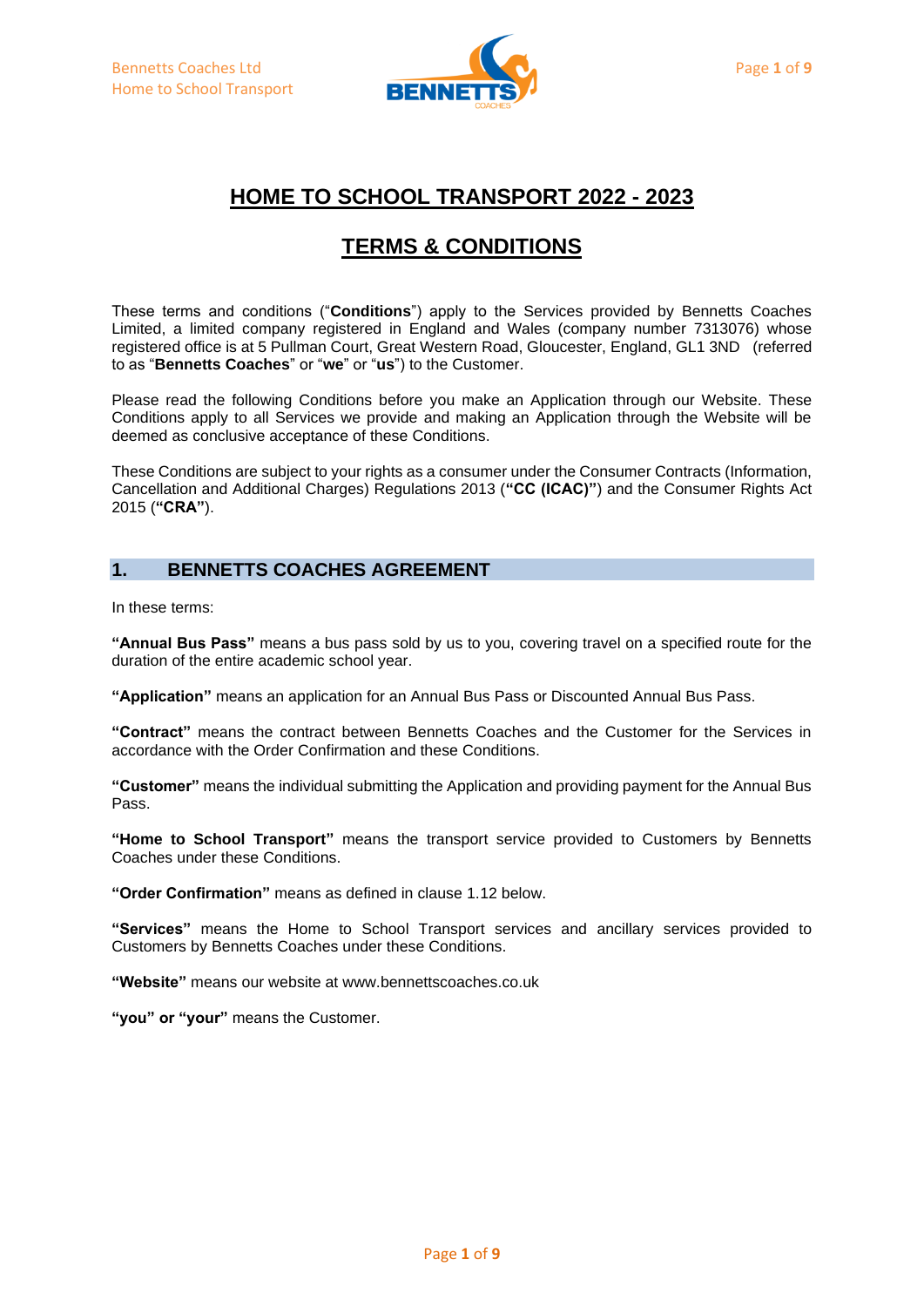

# **HOME TO SCHOOL TRANSPORT 2022 - 2023**

# **TERMS & CONDITIONS**

These terms and conditions ("**Conditions**") apply to the Services provided by Bennetts Coaches Limited, a limited company registered in England and Wales (company number 7313076) whose registered office is at 5 Pullman Court, Great Western Road, Gloucester, England, GL1 3ND (referred to as "**Bennetts Coaches**" or "**we**" or "**us**") to the Customer.

Please read the following Conditions before you make an Application through our Website. These Conditions apply to all Services we provide and making an Application through the Website will be deemed as conclusive acceptance of these Conditions.

These Conditions are subject to your rights as a consumer under the Consumer Contracts (Information, Cancellation and Additional Charges) Regulations 2013 (**"CC (ICAC)"**) and the Consumer Rights Act 2015 (**"CRA"**).

# **1. BENNETTS COACHES AGREEMENT**

In these terms:

**"Annual Bus Pass"** means a bus pass sold by us to you, covering travel on a specified route for the duration of the entire academic school year.

**"Application"** means an application for an Annual Bus Pass or Discounted Annual Bus Pass.

**"Contract"** means the contract between Bennetts Coaches and the Customer for the Services in accordance with the Order Confirmation and these Conditions.

**"Customer"** means the individual submitting the Application and providing payment for the Annual Bus Pass.

**"Home to School Transport"** means the transport service provided to Customers by Bennetts Coaches under these Conditions.

**"Order Confirmation"** means as defined in clause 1.12 below.

**"Services"** means the Home to School Transport services and ancillary services provided to Customers by Bennetts Coaches under these Conditions.

**"Website"** means our website at www.bennettscoaches.co.uk

**"you" or "your"** means the Customer.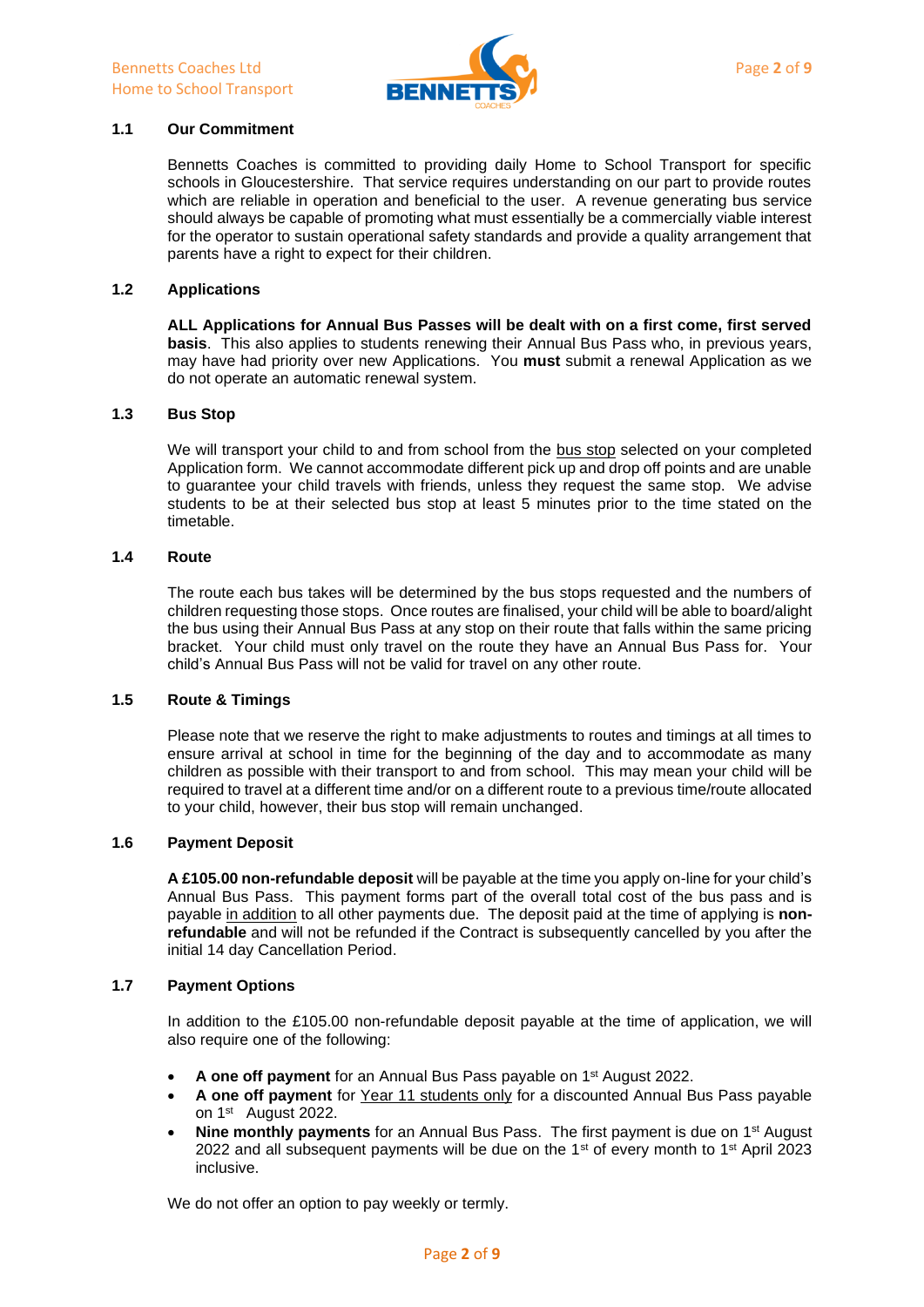

## **1.1 Our Commitment**

Bennetts Coaches is committed to providing daily Home to School Transport for specific schools in Gloucestershire. That service requires understanding on our part to provide routes which are reliable in operation and beneficial to the user. A revenue generating bus service should always be capable of promoting what must essentially be a commercially viable interest for the operator to sustain operational safety standards and provide a quality arrangement that parents have a right to expect for their children.

### **1.2 Applications**

**ALL Applications for Annual Bus Passes will be dealt with on a first come, first served basis**. This also applies to students renewing their Annual Bus Pass who, in previous years, may have had priority over new Applications. You **must** submit a renewal Application as we do not operate an automatic renewal system.

#### **1.3 Bus Stop**

We will transport your child to and from school from the bus stop selected on your completed Application form. We cannot accommodate different pick up and drop off points and are unable to guarantee your child travels with friends, unless they request the same stop. We advise students to be at their selected bus stop at least 5 minutes prior to the time stated on the timetable.

## **1.4 Route**

The route each bus takes will be determined by the bus stops requested and the numbers of children requesting those stops. Once routes are finalised, your child will be able to board/alight the bus using their Annual Bus Pass at any stop on their route that falls within the same pricing bracket. Your child must only travel on the route they have an Annual Bus Pass for. Your child's Annual Bus Pass will not be valid for travel on any other route.

#### **1.5 Route & Timings**

Please note that we reserve the right to make adjustments to routes and timings at all times to ensure arrival at school in time for the beginning of the day and to accommodate as many children as possible with their transport to and from school. This may mean your child will be required to travel at a different time and/or on a different route to a previous time/route allocated to your child, however, their bus stop will remain unchanged.

## **1.6 Payment Deposit**

**A £105.00 non-refundable deposit** will be payable at the time you apply on-line for your child's Annual Bus Pass. This payment forms part of the overall total cost of the bus pass and is payable in addition to all other payments due. The deposit paid at the time of applying is **nonrefundable** and will not be refunded if the Contract is subsequently cancelled by you after the initial 14 day Cancellation Period.

#### **1.7 Payment Options**

In addition to the £105.00 non-refundable deposit payable at the time of application, we will also require one of the following:

- A one off payment for an Annual Bus Pass payable on 1<sup>st</sup> August 2022.
- **A one off payment** for Year 11 students only for a discounted Annual Bus Pass payable on 1<sup>st</sup> August 2022.
- **Nine monthly payments** for an Annual Bus Pass. The first payment is due on 1<sup>st</sup> August 2022 and all subsequent payments will be due on the 1<sup>st</sup> of every month to 1<sup>st</sup> April 2023 inclusive.

We do not offer an option to pay weekly or termly.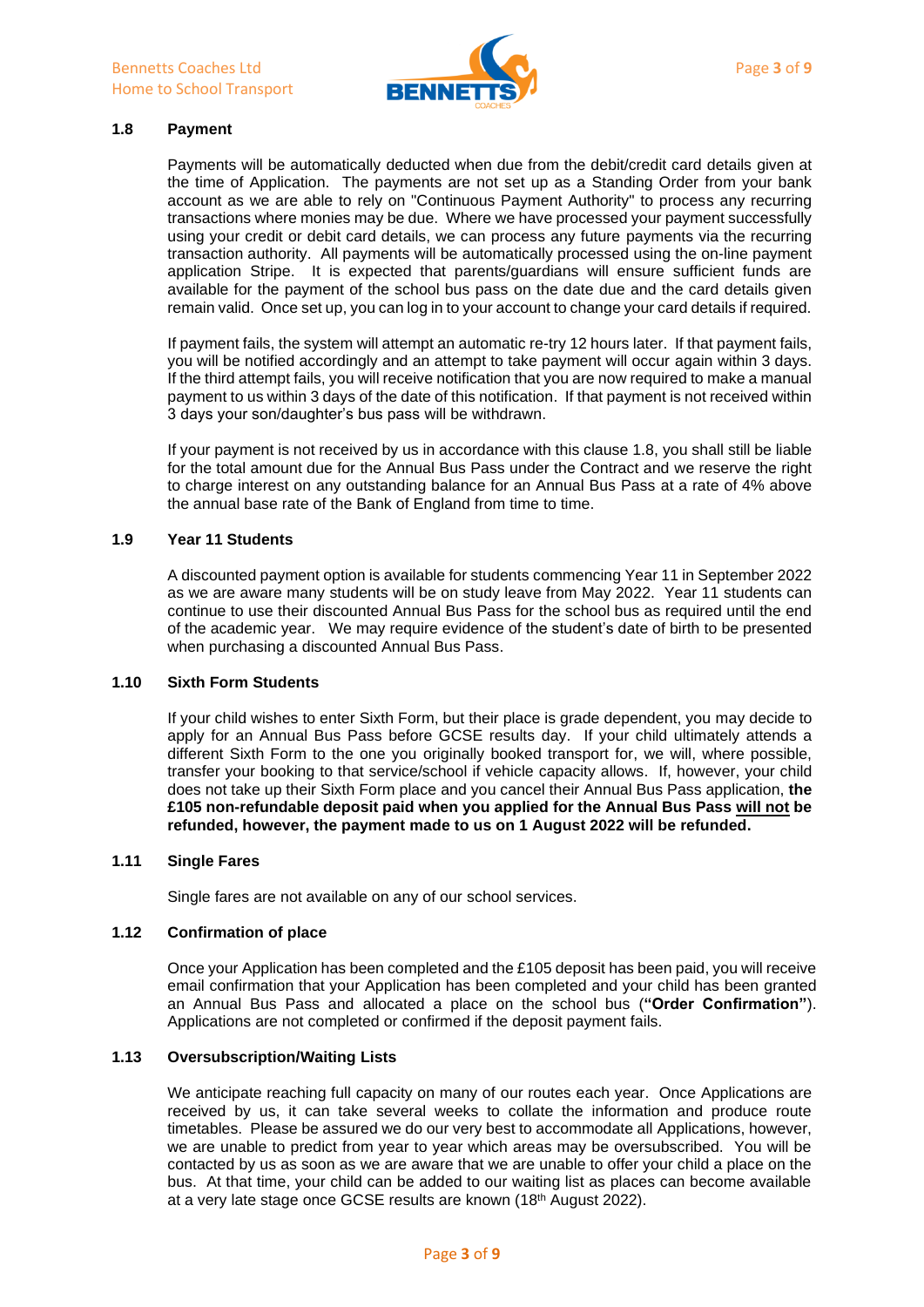

## **1.8 Payment**

Payments will be automatically deducted when due from the debit/credit card details given at the time of Application. The payments are not set up as a Standing Order from your bank account as we are able to rely on "Continuous Payment Authority" to process any recurring transactions where monies may be due. Where we have processed your payment successfully using your credit or debit card details, we can process any future payments via the recurring transaction authority. All payments will be automatically processed using the on-line payment application Stripe. It is expected that parents/guardians will ensure sufficient funds are available for the payment of the school bus pass on the date due and the card details given remain valid. Once set up, you can log in to your account to change your card details if required.

If payment fails, the system will attempt an automatic re-try 12 hours later. If that payment fails, you will be notified accordingly and an attempt to take payment will occur again within 3 days. If the third attempt fails, you will receive notification that you are now required to make a manual payment to us within 3 days of the date of this notification. If that payment is not received within 3 days your son/daughter's bus pass will be withdrawn.

If your payment is not received by us in accordance with this clause 1.8, you shall still be liable for the total amount due for the Annual Bus Pass under the Contract and we reserve the right to charge interest on any outstanding balance for an Annual Bus Pass at a rate of 4% above the annual base rate of the Bank of England from time to time.

## **1.9 Year 11 Students**

A discounted payment option is available for students commencing Year 11 in September 2022 as we are aware many students will be on study leave from May 2022. Year 11 students can continue to use their discounted Annual Bus Pass for the school bus as required until the end of the academic year. We may require evidence of the student's date of birth to be presented when purchasing a discounted Annual Bus Pass.

#### **1.10 Sixth Form Students**

If your child wishes to enter Sixth Form, but their place is grade dependent, you may decide to apply for an Annual Bus Pass before GCSE results day. If your child ultimately attends a different Sixth Form to the one you originally booked transport for, we will, where possible, transfer your booking to that service/school if vehicle capacity allows. If, however, your child does not take up their Sixth Form place and you cancel their Annual Bus Pass application, **the £105 non-refundable deposit paid when you applied for the Annual Bus Pass will not be refunded, however, the payment made to us on 1 August 2022 will be refunded.** 

### **1.11 Single Fares**

Single fares are not available on any of our school services.

#### **1.12 Confirmation of place**

Once your Application has been completed and the £105 deposit has been paid, you will receive email confirmation that your Application has been completed and your child has been granted an Annual Bus Pass and allocated a place on the school bus (**"Order Confirmation"**). Applications are not completed or confirmed if the deposit payment fails.

## **1.13 Oversubscription/Waiting Lists**

We anticipate reaching full capacity on many of our routes each year. Once Applications are received by us, it can take several weeks to collate the information and produce route timetables. Please be assured we do our very best to accommodate all Applications, however, we are unable to predict from year to year which areas may be oversubscribed. You will be contacted by us as soon as we are aware that we are unable to offer your child a place on the bus. At that time, your child can be added to our waiting list as places can become available at a very late stage once GCSE results are known (18<sup>th</sup> August 2022).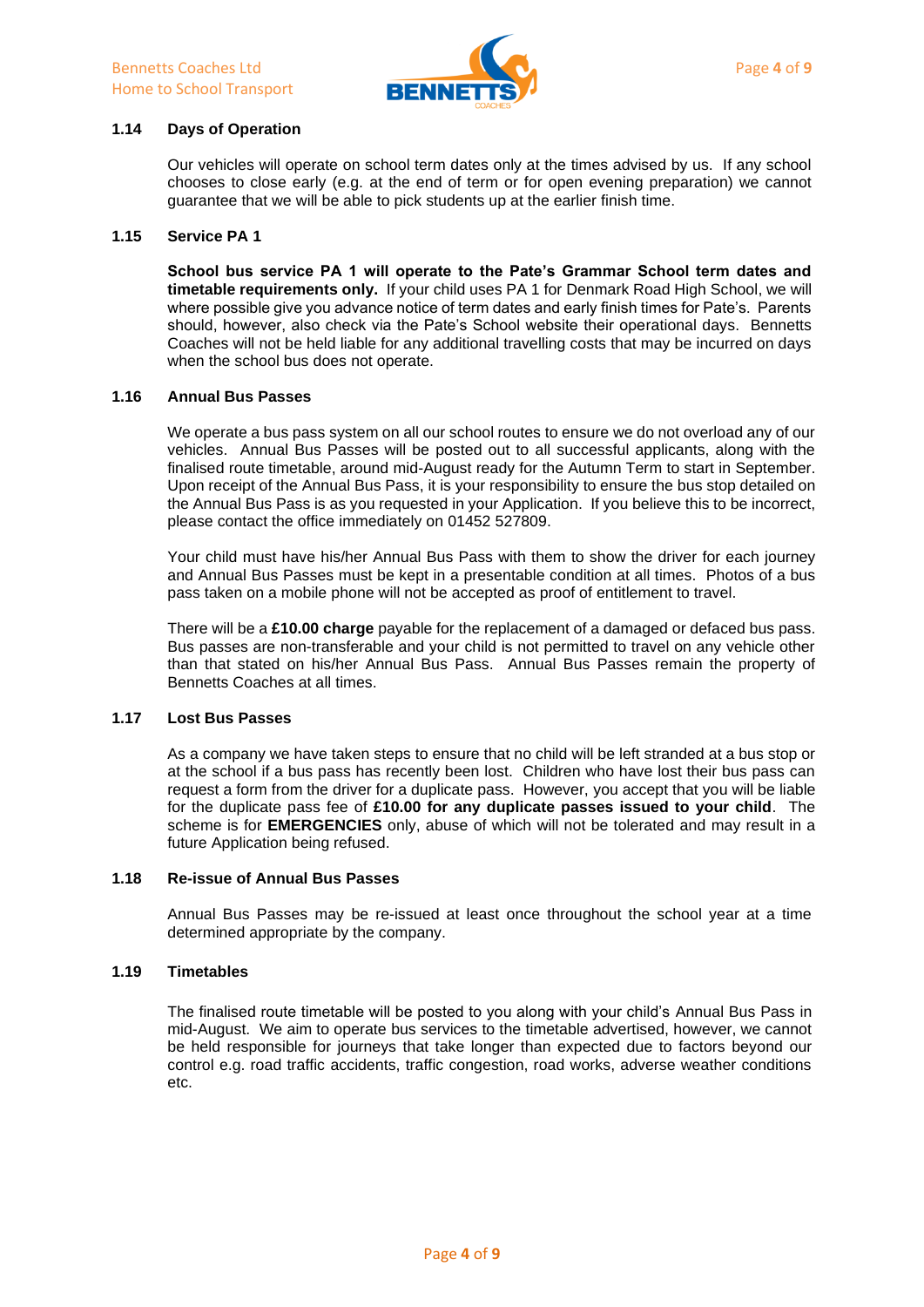

## **1.14 Days of Operation**

Our vehicles will operate on school term dates only at the times advised by us. If any school chooses to close early (e.g. at the end of term or for open evening preparation) we cannot guarantee that we will be able to pick students up at the earlier finish time.

#### **1.15 Service PA 1**

**School bus service PA 1 will operate to the Pate's Grammar School term dates and timetable requirements only.** If your child uses PA 1 for Denmark Road High School, we will where possible give you advance notice of term dates and early finish times for Pate's. Parents should, however, also check via the Pate's School website their operational days. Bennetts Coaches will not be held liable for any additional travelling costs that may be incurred on days when the school bus does not operate.

### **1.16 Annual Bus Passes**

We operate a bus pass system on all our school routes to ensure we do not overload any of our vehicles. Annual Bus Passes will be posted out to all successful applicants, along with the finalised route timetable, around mid-August ready for the Autumn Term to start in September. Upon receipt of the Annual Bus Pass, it is your responsibility to ensure the bus stop detailed on the Annual Bus Pass is as you requested in your Application. If you believe this to be incorrect, please contact the office immediately on 01452 527809.

Your child must have his/her Annual Bus Pass with them to show the driver for each journey and Annual Bus Passes must be kept in a presentable condition at all times. Photos of a bus pass taken on a mobile phone will not be accepted as proof of entitlement to travel.

There will be a **£10.00 charge** payable for the replacement of a damaged or defaced bus pass. Bus passes are non-transferable and your child is not permitted to travel on any vehicle other than that stated on his/her Annual Bus Pass. Annual Bus Passes remain the property of Bennetts Coaches at all times.

#### **1.17 Lost Bus Passes**

As a company we have taken steps to ensure that no child will be left stranded at a bus stop or at the school if a bus pass has recently been lost. Children who have lost their bus pass can request a form from the driver for a duplicate pass. However, you accept that you will be liable for the duplicate pass fee of **£10.00 for any duplicate passes issued to your child**. The scheme is for **EMERGENCIES** only, abuse of which will not be tolerated and may result in a future Application being refused.

## **1.18 Re-issue of Annual Bus Passes**

Annual Bus Passes may be re-issued at least once throughout the school year at a time determined appropriate by the company.

#### **1.19 Timetables**

The finalised route timetable will be posted to you along with your child's Annual Bus Pass in mid-August. We aim to operate bus services to the timetable advertised, however, we cannot be held responsible for journeys that take longer than expected due to factors beyond our control e.g. road traffic accidents, traffic congestion, road works, adverse weather conditions etc.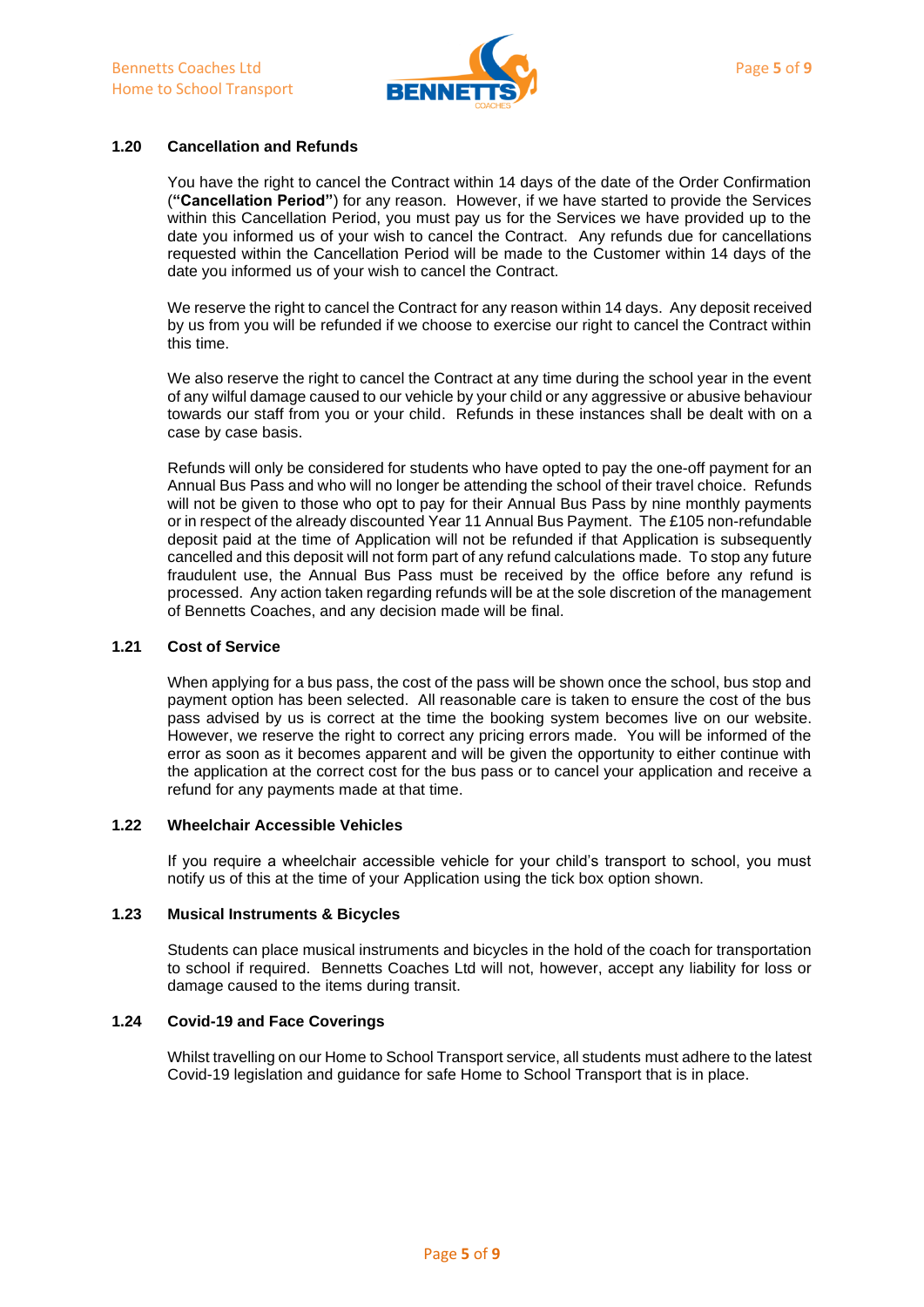

## **1.20 Cancellation and Refunds**

You have the right to cancel the Contract within 14 days of the date of the Order Confirmation (**"Cancellation Period"**) for any reason. However, if we have started to provide the Services within this Cancellation Period, you must pay us for the Services we have provided up to the date you informed us of your wish to cancel the Contract. Any refunds due for cancellations requested within the Cancellation Period will be made to the Customer within 14 days of the date you informed us of your wish to cancel the Contract.

We reserve the right to cancel the Contract for any reason within 14 days. Any deposit received by us from you will be refunded if we choose to exercise our right to cancel the Contract within this time.

We also reserve the right to cancel the Contract at any time during the school year in the event of any wilful damage caused to our vehicle by your child or any aggressive or abusive behaviour towards our staff from you or your child. Refunds in these instances shall be dealt with on a case by case basis.

Refunds will only be considered for students who have opted to pay the one-off payment for an Annual Bus Pass and who will no longer be attending the school of their travel choice. Refunds will not be given to those who opt to pay for their Annual Bus Pass by nine monthly payments or in respect of the already discounted Year 11 Annual Bus Payment. The £105 non-refundable deposit paid at the time of Application will not be refunded if that Application is subsequently cancelled and this deposit will not form part of any refund calculations made. To stop any future fraudulent use, the Annual Bus Pass must be received by the office before any refund is processed. Any action taken regarding refunds will be at the sole discretion of the management of Bennetts Coaches, and any decision made will be final.

### **1.21 Cost of Service**

When applying for a bus pass, the cost of the pass will be shown once the school, bus stop and payment option has been selected. All reasonable care is taken to ensure the cost of the bus pass advised by us is correct at the time the booking system becomes live on our website. However, we reserve the right to correct any pricing errors made. You will be informed of the error as soon as it becomes apparent and will be given the opportunity to either continue with the application at the correct cost for the bus pass or to cancel your application and receive a refund for any payments made at that time.

## **1.22 Wheelchair Accessible Vehicles**

If you require a wheelchair accessible vehicle for your child's transport to school, you must notify us of this at the time of your Application using the tick box option shown.

## **1.23 Musical Instruments & Bicycles**

Students can place musical instruments and bicycles in the hold of the coach for transportation to school if required. Bennetts Coaches Ltd will not, however, accept any liability for loss or damage caused to the items during transit.

## **1.24 Covid-19 and Face Coverings**

Whilst travelling on our Home to School Transport service, all students must adhere to the latest Covid-19 legislation and guidance for safe Home to School Transport that is in place.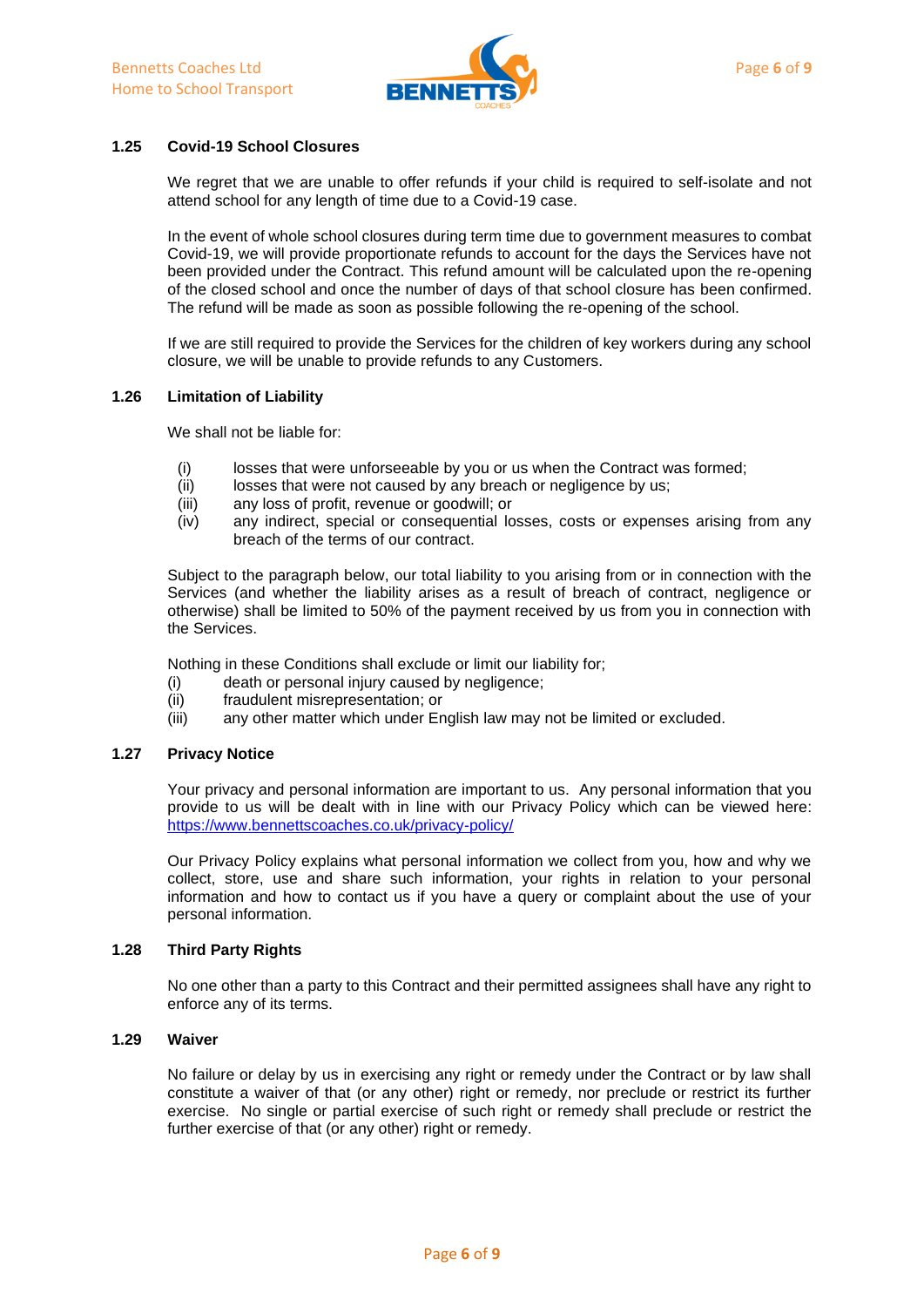

## **1.25 Covid-19 School Closures**

We regret that we are unable to offer refunds if your child is required to self-isolate and not attend school for any length of time due to a Covid-19 case.

In the event of whole school closures during term time due to government measures to combat Covid-19, we will provide proportionate refunds to account for the days the Services have not been provided under the Contract. This refund amount will be calculated upon the re-opening of the closed school and once the number of days of that school closure has been confirmed. The refund will be made as soon as possible following the re-opening of the school.

If we are still required to provide the Services for the children of key workers during any school closure, we will be unable to provide refunds to any Customers.

#### **1.26 Limitation of Liability**

We shall not be liable for:

- (i) losses that were unforseeable by you or us when the Contract was formed;
- (ii) losses that were not caused by any breach or negligence by us;
- (iii) any loss of profit, revenue or goodwill; or
- (iv) any indirect, special or consequential losses, costs or expenses arising from any breach of the terms of our contract.

Subject to the paragraph below, our total liability to you arising from or in connection with the Services (and whether the liability arises as a result of breach of contract, negligence or otherwise) shall be limited to 50% of the payment received by us from you in connection with the Services.

Nothing in these Conditions shall exclude or limit our liability for;

- (i) death or personal injury caused by negligence;
- (ii) fraudulent misrepresentation; or
- (iii) any other matter which under English law may not be limited or excluded.

#### **1.27 Privacy Notice**

Your privacy and personal information are important to us. Any personal information that you provide to us will be dealt with in line with our Privacy Policy which can be viewed here: <https://www.bennettscoaches.co.uk/privacy-policy/>

Our Privacy Policy explains what personal information we collect from you, how and why we collect, store, use and share such information, your rights in relation to your personal information and how to contact us if you have a query or complaint about the use of your personal information.

#### **1.28 Third Party Rights**

No one other than a party to this Contract and their permitted assignees shall have any right to enforce any of its terms.

## **1.29 Waiver**

No failure or delay by us in exercising any right or remedy under the Contract or by law shall constitute a waiver of that (or any other) right or remedy, nor preclude or restrict its further exercise. No single or partial exercise of such right or remedy shall preclude or restrict the further exercise of that (or any other) right or remedy.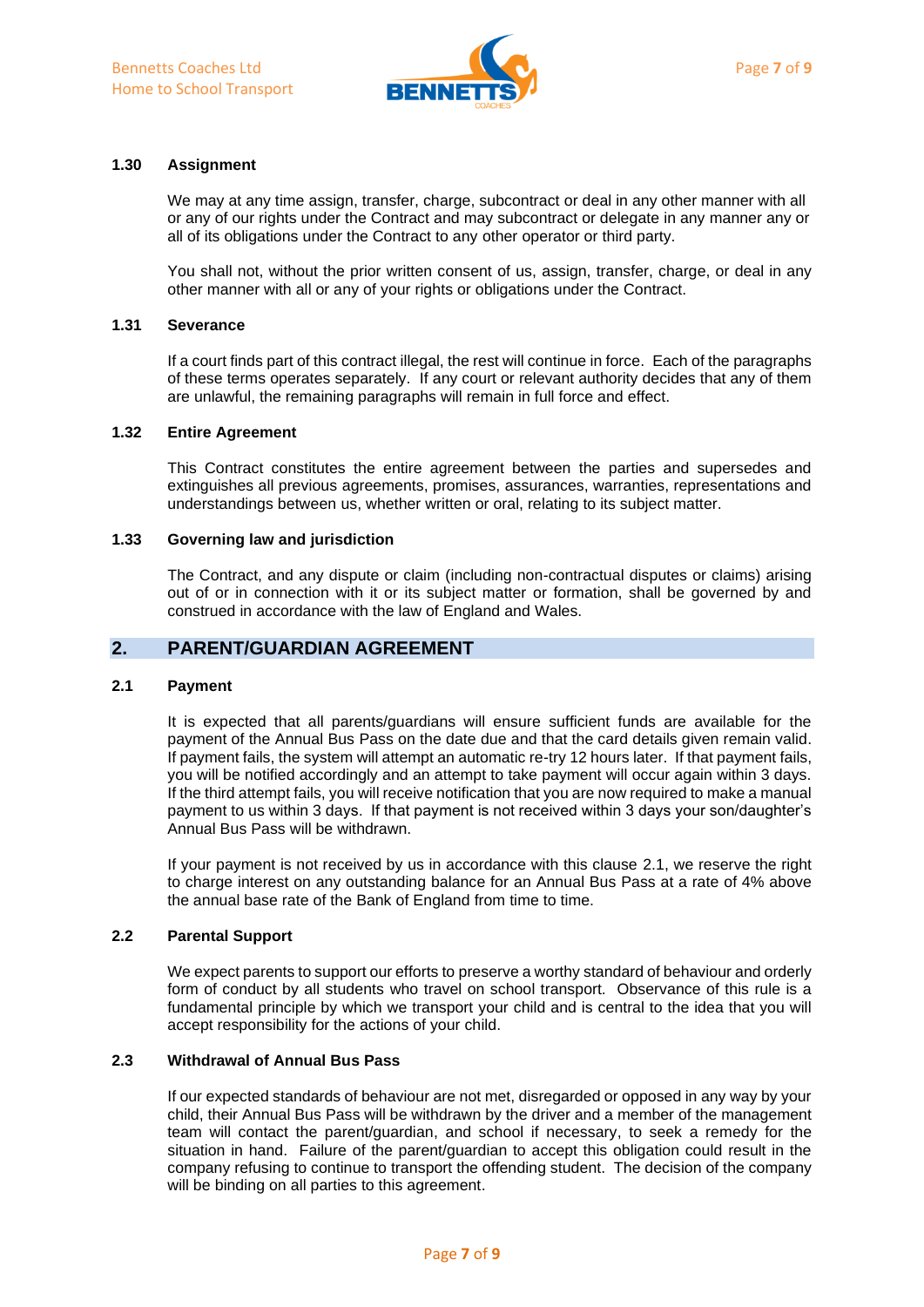

## **1.30 Assignment**

We may at any time assign, transfer, charge, subcontract or deal in any other manner with all or any of our rights under the Contract and may subcontract or delegate in any manner any or all of its obligations under the Contract to any other operator or third party.

You shall not, without the prior written consent of us, assign, transfer, charge, or deal in any other manner with all or any of your rights or obligations under the Contract.

### **1.31 Severance**

If a court finds part of this contract illegal, the rest will continue in force. Each of the paragraphs of these terms operates separately. If any court or relevant authority decides that any of them are unlawful, the remaining paragraphs will remain in full force and effect.

#### **1.32 Entire Agreement**

This Contract constitutes the entire agreement between the parties and supersedes and extinguishes all previous agreements, promises, assurances, warranties, representations and understandings between us, whether written or oral, relating to its subject matter.

#### **1.33 Governing law and jurisdiction**

The Contract, and any dispute or claim (including non-contractual disputes or claims) arising out of or in connection with it or its subject matter or formation, shall be governed by and construed in accordance with the law of England and Wales.

## **2. PARENT/GUARDIAN AGREEMENT**

#### **2.1 Payment**

It is expected that all parents/guardians will ensure sufficient funds are available for the payment of the Annual Bus Pass on the date due and that the card details given remain valid. If payment fails, the system will attempt an automatic re-try 12 hours later. If that payment fails, you will be notified accordingly and an attempt to take payment will occur again within 3 days. If the third attempt fails, you will receive notification that you are now required to make a manual payment to us within 3 days. If that payment is not received within 3 days your son/daughter's Annual Bus Pass will be withdrawn.

If your payment is not received by us in accordance with this clause 2.1, we reserve the right to charge interest on any outstanding balance for an Annual Bus Pass at a rate of 4% above the annual base rate of the Bank of England from time to time.

#### **2.2 Parental Support**

We expect parents to support our efforts to preserve a worthy standard of behaviour and orderly form of conduct by all students who travel on school transport. Observance of this rule is a fundamental principle by which we transport your child and is central to the idea that you will accept responsibility for the actions of your child.

## **2.3 Withdrawal of Annual Bus Pass**

If our expected standards of behaviour are not met, disregarded or opposed in any way by your child, their Annual Bus Pass will be withdrawn by the driver and a member of the management team will contact the parent/guardian, and school if necessary, to seek a remedy for the situation in hand. Failure of the parent/guardian to accept this obligation could result in the company refusing to continue to transport the offending student. The decision of the company will be binding on all parties to this agreement.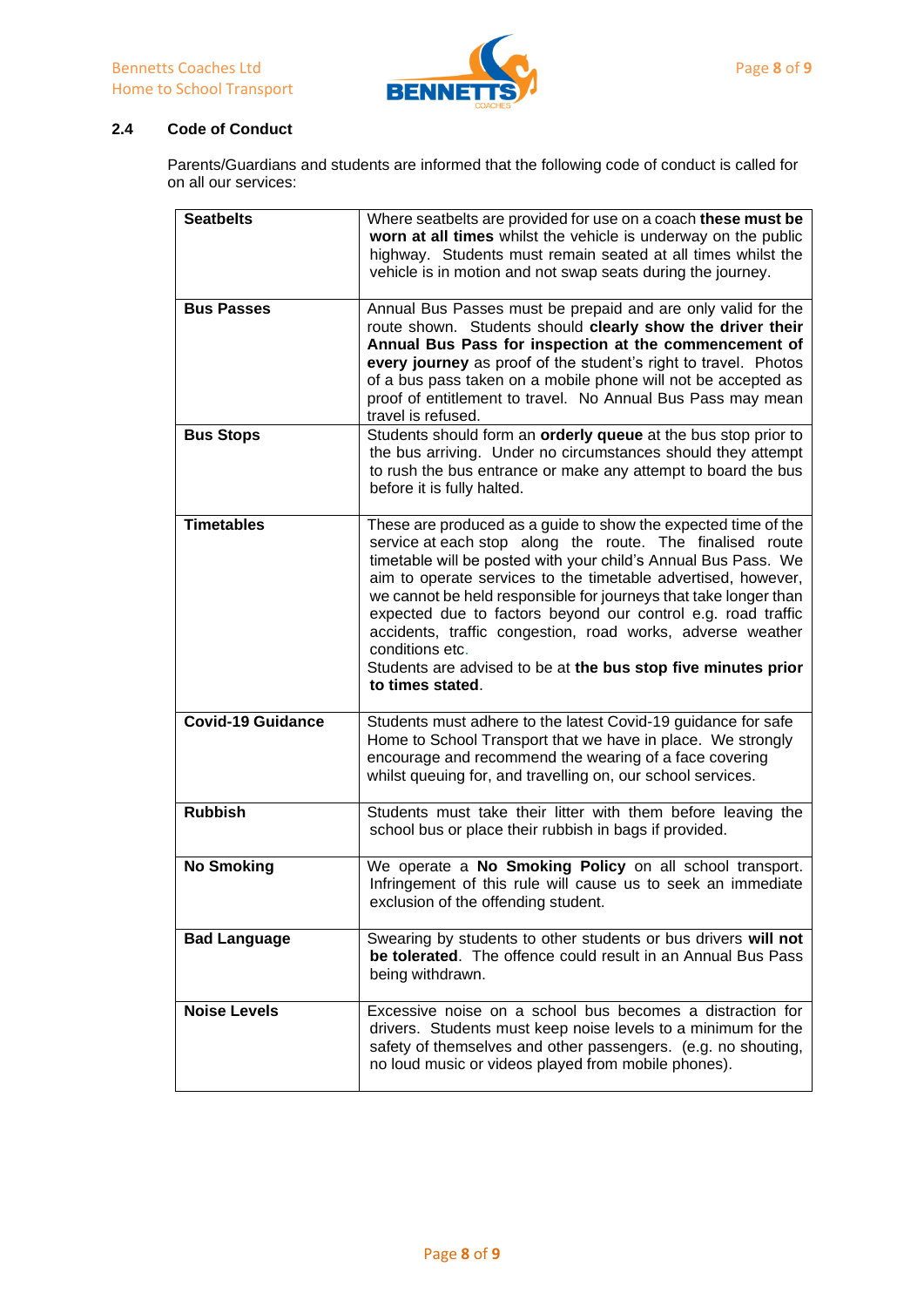

## **2.4 Code of Conduct**

Parents/Guardians and students are informed that the following code of conduct is called for on all our services:

| <b>Seatbelts</b>         | Where seatbelts are provided for use on a coach these must be                                                                |
|--------------------------|------------------------------------------------------------------------------------------------------------------------------|
|                          | worn at all times whilst the vehicle is underway on the public                                                               |
|                          | highway. Students must remain seated at all times whilst the                                                                 |
|                          | vehicle is in motion and not swap seats during the journey.                                                                  |
|                          |                                                                                                                              |
| <b>Bus Passes</b>        | Annual Bus Passes must be prepaid and are only valid for the                                                                 |
|                          | route shown. Students should clearly show the driver their                                                                   |
|                          | Annual Bus Pass for inspection at the commencement of                                                                        |
|                          | every journey as proof of the student's right to travel. Photos                                                              |
|                          | of a bus pass taken on a mobile phone will not be accepted as                                                                |
|                          | proof of entitlement to travel. No Annual Bus Pass may mean                                                                  |
|                          | travel is refused.                                                                                                           |
| <b>Bus Stops</b>         | Students should form an orderly queue at the bus stop prior to                                                               |
|                          | the bus arriving. Under no circumstances should they attempt                                                                 |
|                          | to rush the bus entrance or make any attempt to board the bus                                                                |
|                          | before it is fully halted.                                                                                                   |
|                          |                                                                                                                              |
| <b>Timetables</b>        | These are produced as a guide to show the expected time of the                                                               |
|                          | service at each stop along the route. The finalised route                                                                    |
|                          | timetable will be posted with your child's Annual Bus Pass. We                                                               |
|                          | aim to operate services to the timetable advertised, however,                                                                |
|                          | we cannot be held responsible for journeys that take longer than                                                             |
|                          | expected due to factors beyond our control e.g. road traffic                                                                 |
|                          | accidents, traffic congestion, road works, adverse weather                                                                   |
|                          | conditions etc.                                                                                                              |
|                          |                                                                                                                              |
|                          | Students are advised to be at the bus stop five minutes prior                                                                |
|                          | to times stated.                                                                                                             |
| <b>Covid-19 Guidance</b> |                                                                                                                              |
|                          | Students must adhere to the latest Covid-19 guidance for safe<br>Home to School Transport that we have in place. We strongly |
|                          | encourage and recommend the wearing of a face covering                                                                       |
|                          | whilst queuing for, and travelling on, our school services.                                                                  |
|                          |                                                                                                                              |
| <b>Rubbish</b>           | Students must take their litter with them before leaving the                                                                 |
|                          | school bus or place their rubbish in bags if provided.                                                                       |
|                          |                                                                                                                              |
| <b>No Smoking</b>        | We operate a No Smoking Policy on all school transport.                                                                      |
|                          | Infringement of this rule will cause us to seek an immediate                                                                 |
|                          | exclusion of the offending student.                                                                                          |
|                          |                                                                                                                              |
| <b>Bad Language</b>      | Swearing by students to other students or bus drivers will not                                                               |
|                          | be tolerated. The offence could result in an Annual Bus Pass<br>being withdrawn.                                             |
|                          |                                                                                                                              |
| <b>Noise Levels</b>      | Excessive noise on a school bus becomes a distraction for                                                                    |
|                          | drivers. Students must keep noise levels to a minimum for the                                                                |
|                          | safety of themselves and other passengers. (e.g. no shouting,                                                                |
|                          | no loud music or videos played from mobile phones).                                                                          |